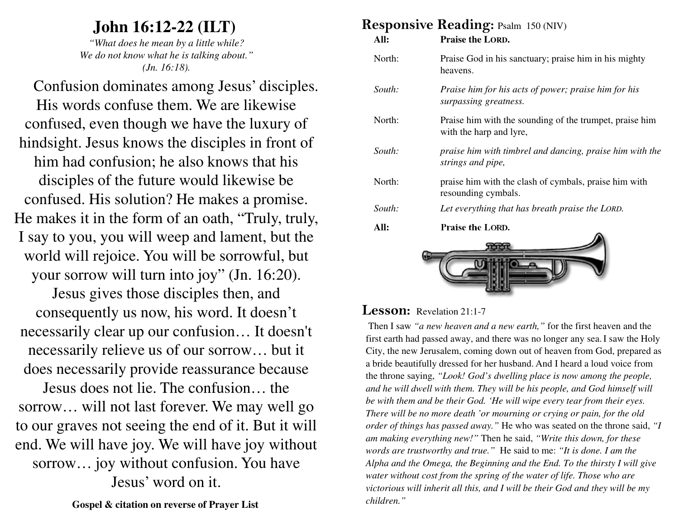### **John 16:12-22 (ILT)**

 *"What does he mean by a little while? We do not know what he is talking about." (Jn. 16:18).*

Confusion dominates among Jesus' disciples. His words confuse them. We are likewise confused, even though we have the luxury of hindsight. Jesus knows the disciples in front of him had confusion; he also knows that his disciples of the future would likewise be confused. His solution? He makes a promise. He makes it in the form of an oath, "Truly, truly, I say to you, you will weep and lament, but the world will rejoice. You will be sorrowful, but your sorrow will turn into joy" (Jn. 16:20).

Jesus gives those disciples then, and consequently us now, his word. It doesn't necessarily clear up our confusion… It doesn't necessarily relieve us of our sorrow… but it does necessarily provide reassurance because

Jesus does not lie. The confusion… the sorrow… will not last forever. We may well go to our graves not seeing the end of it. But it willend. We will have joy. We will have joy without sorrow… joy without confusion. You have Jesus' word on it.

#### **Responsive Reading: Psalm 150 (NIV)**

| All:   | <b>Praise the LORD.</b>                                                            |  |
|--------|------------------------------------------------------------------------------------|--|
| North: | Praise God in his sanctuary; praise him in his mighty<br>heavens.                  |  |
| South: | Praise him for his acts of power; praise him for his<br>surpassing greatness.      |  |
| North: | Praise him with the sounding of the trumpet, praise him<br>with the harp and lyre, |  |
| South: | praise him with timbrel and dancing, praise him with the<br>strings and pipe,      |  |
| North: | praise him with the clash of cymbals, praise him with<br>resounding cymbals.       |  |
| South: | Let everything that has breath praise the LORD.                                    |  |
| All:   | <b>Praise the LORD.</b>                                                            |  |
|        |                                                                                    |  |



#### **Lesson:** Revelation 21:1-7

Then I saw *"a new heaven and a new earth,"* for the first heaven and the first earth had passed away, and there was no longer any sea. I saw the Holy City, the new Jerusalem, coming down out of heaven from God, prepared as a bride beautifully dressed for her husband. And I heard a loud voice from the throne saying, *"Look! God's dwelling place is now among the people, and he will dwell with them. They will be his people, and God himself will be with them and be their God. 'He will wipe every tear from their eyes. There will be no more death 'or mourning or crying or pain, for the old order of things has passed away."* He who was seated on the throne said, *"I am making everything new!"* Then he said, *"Write this down, for these words are trustworthy and true."* He said to me: *"It is done. I am the Alpha and the Omega, the Beginning and the End. To the thirsty I will give water without cost from the spring of the water of life. Those who are victorious will inherit all this, and I will be their God and they will be my children."*